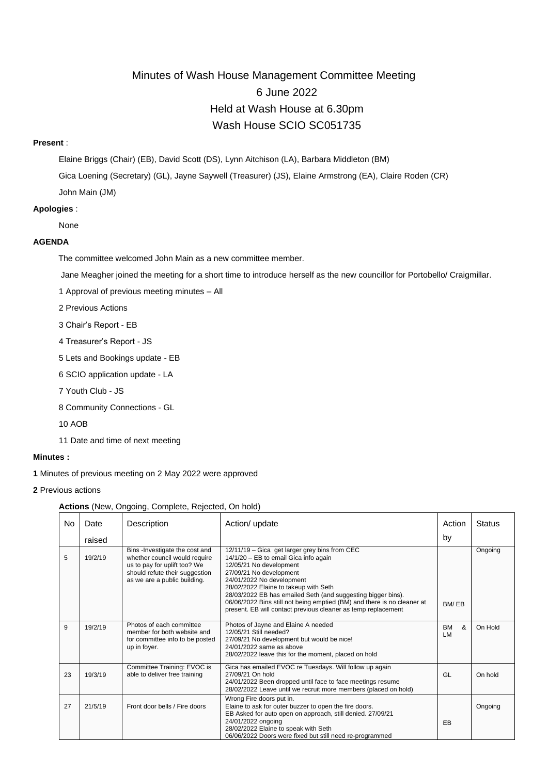# Minutes of Wash House Management Committee Meeting 6 June 2022 Held at Wash House at 6.30pm Wash House SCIO SC051735

## **Present** :

Elaine Briggs (Chair) (EB), David Scott (DS), Lynn Aitchison (LA), Barbara Middleton (BM)

Gica Loening (Secretary) (GL), Jayne Saywell (Treasurer) (JS), Elaine Armstrong (EA), Claire Roden (CR)

John Main (JM)

## **Apologies** :

None

# **AGENDA**

The committee welcomed John Main as a new committee member.

Jane Meagher joined the meeting for a short time to introduce herself as the new councillor for Portobello/ Craigmillar.

- 1 Approval of previous meeting minutes All
- 2 Previous Actions
- 3 Chair's Report EB
- 4 Treasurer's Report JS
- 5 Lets and Bookings update EB
- 6 SCIO application update LA
- 7 Youth Club JS
- 8 Community Connections GL
- 10 AOB
- 11 Date and time of next meeting

# **Minutes :**

**1** Minutes of previous meeting on 2 May 2022 were approved

**2** Previous actions

## **Actions** (New, Ongoing, Complete, Rejected, On hold)

| No. | Date    | Description                                                                                                                                                       | Action/ update                                                                                                                                                                                                                                                                                                                                                                                                                 | Action                      | <b>Status</b> |
|-----|---------|-------------------------------------------------------------------------------------------------------------------------------------------------------------------|--------------------------------------------------------------------------------------------------------------------------------------------------------------------------------------------------------------------------------------------------------------------------------------------------------------------------------------------------------------------------------------------------------------------------------|-----------------------------|---------------|
|     | raised  |                                                                                                                                                                   |                                                                                                                                                                                                                                                                                                                                                                                                                                | by                          |               |
| 5   | 19/2/19 | Bins -Investigate the cost and<br>whether council would require<br>us to pay for uplift too? We<br>should refute their suggestion<br>as we are a public building. | 12/11/19 - Gica get larger grey bins from CEC<br>14/1/20 - EB to email Gica info again<br>12/05/21 No development<br>27/09/21 No development<br>24/01/2022 No development<br>28/02/2022 Elaine to takeup with Seth<br>28/03/2022 EB has emailed Seth (and suggesting bigger bins).<br>06/06/2022 Bins still not being emptied (BM) and there is no cleaner at<br>present. EB will contact previous cleaner as temp replacement | BM/EB                       | Ongoing       |
| 9   | 19/2/19 | Photos of each committee<br>member for both website and<br>for committee info to be posted<br>up in foyer.                                                        | Photos of Jayne and Elaine A needed<br>12/05/21 Still needed?<br>27/09/21 No development but would be nice!<br>24/01/2022 same as above<br>28/02/2022 leave this for the moment, placed on hold                                                                                                                                                                                                                                | <b>BM</b><br>&<br><b>LM</b> | On Hold       |
| 23  | 19/3/19 | Committee Training: EVOC is<br>able to deliver free training                                                                                                      | Gica has emailed EVOC re Tuesdays. Will follow up again<br>27/09/21 On hold<br>24/01/2022 Been dropped until face to face meetings resume<br>28/02/2022 Leave until we recruit more members (placed on hold)                                                                                                                                                                                                                   | GL                          | On hold       |
| 27  | 21/5/19 | Front door bells / Fire doors                                                                                                                                     | Wrong Fire doors put in.<br>Elaine to ask for outer buzzer to open the fire doors.<br>EB Asked for auto open on approach, still denied. 27/09/21<br>24/01/2022 ongoing<br>28/02/2022 Elaine to speak with Seth<br>06/06/2022 Doors were fixed but still need re-programmed                                                                                                                                                     | EB                          | Ongoing       |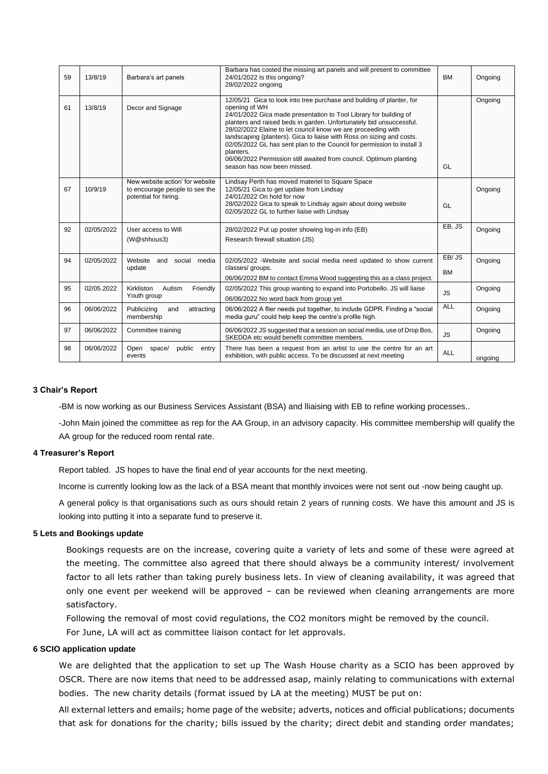| 59 | 13/8/19    | Barbara's art panels                                                                       | Barbara has costed the missing art panels and will present to committee<br>24/01/2022 Is this ongoing?<br>28/02/2022 ongoing                                                                                                                                                                                                                                                                                                                                                                                                                                            | <b>BM</b>          | Ongoing |
|----|------------|--------------------------------------------------------------------------------------------|-------------------------------------------------------------------------------------------------------------------------------------------------------------------------------------------------------------------------------------------------------------------------------------------------------------------------------------------------------------------------------------------------------------------------------------------------------------------------------------------------------------------------------------------------------------------------|--------------------|---------|
| 61 | 13/8/19    | Decor and Signage                                                                          | 12/05/21 Gica to look into tree purchase and building of planter, for<br>opening of WH<br>24/01/2022 Gica made presentation to Tool Library for building of<br>planters and raised beds in garden. Unfortunately bid unsuccessful.<br>28/02/2022 Elaine to let council know we are proceeding with<br>landscaping (planters). Gica to liaise with Ross on sizing and costs.<br>02/05/2022 GL has sent plan to the Council for permission to install 3<br>planters.<br>06/06/2022 Permission still awaited from council. Optimum planting<br>season has now been missed. | GL                 | Ongoing |
| 67 | 10/9/19    | New website action' for website<br>to encourage people to see the<br>potential for hiring. | Lindsay Perth has moved materiel to Square Space<br>12/05/21 Gica to get update from Lindsay<br>24/01/2022 On hold for now<br>28/02/2022 Gica to speak to Lindsay again about doing website<br>02/05/2022 GL to further liaise with Lindsay                                                                                                                                                                                                                                                                                                                             | GL                 | Ongoing |
| 92 | 02/05/2022 | User access to Wifi<br>(W@shhous3)                                                         | 28/02/2022 Put up poster showing log-in info (EB)<br>Research firewall situation (JS)                                                                                                                                                                                                                                                                                                                                                                                                                                                                                   | EB, JS             | Ongoing |
| 94 | 02/05/2022 | Website<br>media<br>and<br>social<br>update                                                | 02/05/2022 -Website and social media need updated to show current<br>classes/ groups.<br>06/06/2022 BM to contact Emma Wood suggesting this as a class project.                                                                                                                                                                                                                                                                                                                                                                                                         | EB/JS<br><b>BM</b> | Ongoing |
| 95 | 02/05.2022 | Kirkliston<br>Autism<br>Friendly<br>Youth group                                            | 02/05/2022 This group wanting to expand into Portobello. JS will liaise<br>06/06/2022 No word back from group yet                                                                                                                                                                                                                                                                                                                                                                                                                                                       | <b>JS</b>          | Ongoing |
| 96 | 06/06/2022 | Publicizing<br>attracting<br>and<br>membership                                             | 06/06/2022 A flier needs put together, to include GDPR. Finding a "social<br>media guru" could help keep the centre's profile high.                                                                                                                                                                                                                                                                                                                                                                                                                                     | <b>ALL</b>         | Ongoing |
| 97 | 06/06/2022 | Committee training                                                                         | 06/06/2022 JS suggested that a session on social media, use of Drop Bos,<br>SKEDDA etc would benefit committee members.                                                                                                                                                                                                                                                                                                                                                                                                                                                 | <b>JS</b>          | Ongoing |
| 98 | 06/06/2022 | Open space/<br>public<br>entry<br>events                                                   | There has been a request from an artist to use the centre for an art<br>exhibition, with public access. To be discussed at next meeting                                                                                                                                                                                                                                                                                                                                                                                                                                 | <b>ALL</b>         | ongoing |

#### **3 Chair's Report**

-BM is now working as our Business Services Assistant (BSA) and lliaising with EB to refine working processes..

-John Main joined the committee as rep for the AA Group, in an advisory capacity. His committee membership will qualify the AA group for the reduced room rental rate.

#### **4 Treasurer's Report**

Report tabled. JS hopes to have the final end of year accounts for the next meeting.

Income is currently looking low as the lack of a BSA meant that monthly invoices were not sent out -now being caught up.

A general policy is that organisations such as ours should retain 2 years of running costs. We have this amount and JS is looking into putting it into a separate fund to preserve it.

#### **5 Lets and Bookings update**

Bookings requests are on the increase, covering quite a variety of lets and some of these were agreed at the meeting. The committee also agreed that there should always be a community interest/ involvement factor to all lets rather than taking purely business lets. In view of cleaning availability, it was agreed that only one event per weekend will be approved – can be reviewed when cleaning arrangements are more satisfactory.

Following the removal of most covid regulations, the CO2 monitors might be removed by the council.

For June, LA will act as committee liaison contact for let approvals.

# **6 SCIO application update**

We are delighted that the application to set up The Wash House charity as a SCIO has been approved by OSCR. There are now items that need to be addressed asap, mainly relating to communications with external bodies. The new charity details (format issued by LA at the meeting) MUST be put on:

All external letters and emails; home page of the website; adverts, notices and official publications; documents that ask for donations for the charity; bills issued by the charity; direct debit and standing order mandates;